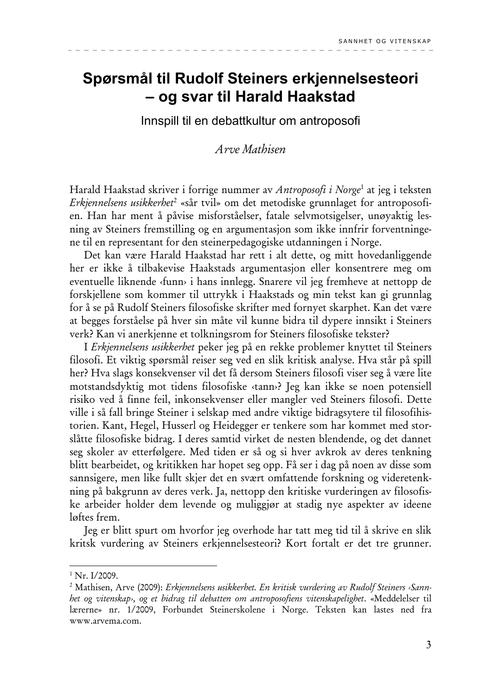# Spørsmål til Rudolf Steiners erkjennelsesteori - og svar til Harald Haakstad

Innspill til en debattkultur om antroposofi

# Arve Mathisen

Harald Haakstad skriver i forrige nummer av Antroposofi i Norge<sup>1</sup> at jeg i teksten Erkjennelsens usikkerhet<sup>2</sup> «sår tvil» om det metodiske grunnlaget for antroposofien. Han har ment å påvise misforståelser, fatale selvmotsigelser, unøyaktig lesning av Steiners fremstilling og en argumentasjon som ikke innfrir forventningene til en representant for den steinerpedagogiske utdanningen i Norge.

Det kan være Harald Haakstad har rett i alt dette, og mitt hovedanliggende her er ikke å tilbakevise Haakstads argumentasjon eller konsentrere meg om eventuelle liknende (funn) i hans innlegg. Snarere vil jeg fremheve at nettopp de forskjellene som kommer til uttrykk i Haakstads og min tekst kan gi grunnlag for å se på Rudolf Steiners filosofiske skrifter med fornyet skarphet. Kan det være at begges forståelse på hver sin måte vil kunne bidra til dypere innsikt i Steiners verk? Kan vi anerkjenne et tolkningsrom for Steiners filosofiske tekster?

I Erkjennelsens usikkerhet peker jeg på en rekke problemer knyttet til Steiners filosofi. Et viktig spørsmål reiser seg ved en slik kritisk analyse. Hva står på spill her? Hva slags konsekvenser vil det få dersom Steiners filosofi viser seg å være lite motstandsdyktig mot tidens filosofiske «tann»? Jeg kan ikke se noen potensiell risiko ved å finne feil, inkonsekvenser eller mangler ved Steiners filosofi. Dette ville i så fall bringe Steiner i selskap med andre viktige bidragsytere til filosofihistorien. Kant, Hegel, Husserl og Heidegger er tenkere som har kommet med storslåtte filosofiske bidrag. I deres samtid virket de nesten blendende, og det dannet seg skoler av etterfølgere. Med tiden er så og si hver avkrok av deres tenkning blitt bearbeidet, og kritikken har hopet seg opp. Få ser i dag på noen av disse som sannsigere, men like fullt skjer det en svært omfattende forskning og videretenkning på bakgrunn av deres verk. Ja, nettopp den kritiske vurderingen av filosofiske arbeider holder dem levende og muliggjør at stadig nye aspekter av ideene løftes frem.

Jeg er blitt spurt om hvorfor jeg overhode har tatt meg tid til å skrive en slik kritsk vurdering av Steiners erkjennelsesteori? Kort fortalt er det tre grunner.

 $1$  Nr. I/2009.

<sup>&</sup>lt;sup>2</sup> Mathisen, Arve (2009): Erkjennelsens usikkerhet. En kritisk vurdering av Rudolf Steiners «Sannhet og vitenskap», og et bidrag til debatten om antroposofiens vitenskapelighet. «Meddelelser til lærerne» nr. 1/2009, Forbundet Steinerskolene i Norge. Teksten kan lastes ned fra www.arvema.com.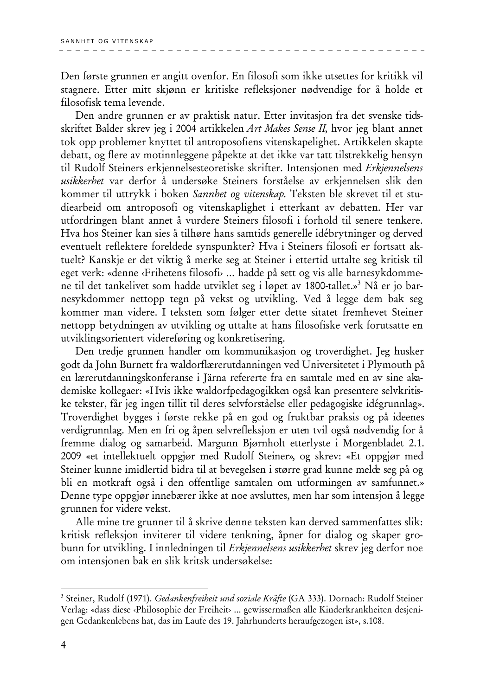Den første grunnen er angitt ovenfor. En filosofi som ikke utsettes for kritikk vil stagnere. Etter mitt skjønn er kritiske refleksjoner nødvendige for å holde et filosofisk tema levende.

Den andre grunnen er av praktisk natur. Etter invitasjon fra det svenske tidsskriftet Balder skrev jeg i 2004 artikkelen Art Makes Sense II, hvor jeg blant annet tok opp problemer knyttet til antroposofiens vitenskapelighet. Artikkelen skapte debatt, og flere av motinnleggene påpekte at det ikke var tatt tilstrekkelig hensyn til Rudolf Steiners erkjennelsesteoretiske skrifter. Intensjonen med Erkjennelsens usikkerhet var derfor å undersøke Steiners forståelse av erkjennelsen slik den kommer til uttrykk i boken Sannhet og vitenskap. Teksten ble skrevet til et studiearbeid om antroposofi og vitenskaplighet i etterkant av debatten. Her var utfordringen blant annet å vurdere Steiners filosofi i forhold til senere tenkere. Hva hos Steiner kan sies å tilhøre hans samtids generelle idébrytninger og derved eventuelt reflektere foreldede synspunkter? Hva i Steiners filosofi er fortsatt aktuelt? Kanskje er det viktig å merke seg at Steiner i ettertid uttalte seg kritisk til eget verk: «denne «Frihetens filosofi» ... hadde på sett og vis alle barnesykdommene til det tankelivet som hadde utviklet seg i løpet av 1800-tallet.»<sup>3</sup> Nå er jo barnesykdommer nettopp tegn på vekst og utvikling. Ved å legge dem bak seg kommer man videre. I teksten som følger etter dette sitatet fremhevet Steiner nettopp betydningen av utvikling og uttalte at hans filosofiske verk forutsatte en utviklingsorientert videreføring og konkretisering.

Den tredje grunnen handler om kommunikasjon og troverdighet. Jeg husker godt da John Burnett fra waldorflærerutdanningen ved Universitetet i Plymouth på en lærerutdanningskonferanse i Järna refererte fra en samtale med en av sine akademiske kollegaer: «Hvis ikke waldorfpedagogikken også kan presentere selvkritiske tekster, får jeg ingen tillit til deres selvforståelse eller pedagogiske idégrunnlag». Troverdighet bygges i første rekke på en god og fruktbar praksis og på ideenes verdigrunnlag. Men en fri og åpen selvrefleksjon er uten tvil også nødvendig for å fremme dialog og samarbeid. Margunn Bjørnholt etterlyste i Morgenbladet 2.1. 2009 «et intellektuelt oppgjør med Rudolf Steiner», og skrev: «Et oppgjør med Steiner kunne imidlertid bidra til at bevegelsen i større grad kunne melde seg på og bli en motkraft også i den offentlige samtalen om utformingen av samfunnet.» Denne type oppgjør innebærer ikke at noe avsluttes, men har som intensjon å legge grunnen for videre vekst.

Alle mine tre grunner til å skrive denne teksten kan derved sammenfattes slik: kritisk refleksjon inviterer til videre tenkning, åpner for dialog og skaper grobunn for utvikling. I innledningen til Erkjennelsens usikkerbet skrev jeg derfor noe om intensjonen bak en slik kritsk undersøkelse:

<sup>&</sup>lt;sup>3</sup> Steiner, Rudolf (1971). Gedankenfreiheit und soziale Kräfte (GA 333). Dornach: Rudolf Steiner Verlag: «dass diese «Philosophie der Freiheit» ... gewissermaßen alle Kinderkrankheiten desjenigen Gedankenlebens hat, das im Laufe des 19. Jahrhunderts heraufgezogen ist», s.108.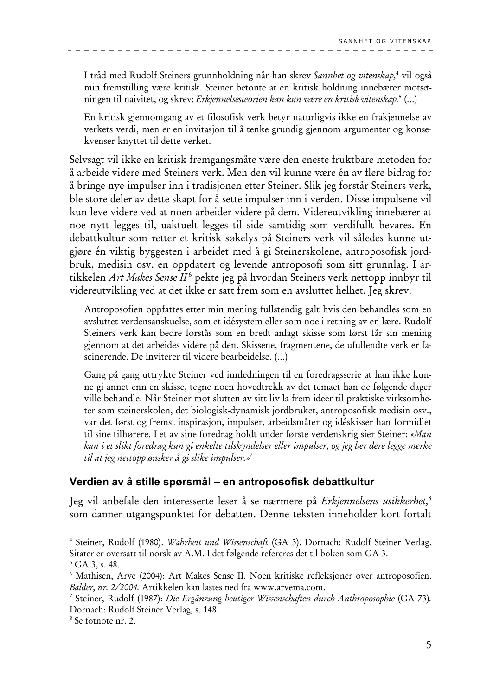I tråd med Rudolf Steiners grunnholdning når han skrev Sannhet og vitenskap,<sup>4</sup> vil også min fremstilling være kritisk. Steiner betonte at en kritisk holdning innebærer motsetningen til naivitet, og skrev: Erkjennelsesteorien kan kun være en kritisk vitenskap.<sup>5</sup> (...)

En kritisk gjennomgang av et filosofisk verk betyr naturligvis ikke en frakjennelse av verkets verdi, men er en invitasjon til å tenke grundig gjennom argumenter og konsekvenser knyttet til dette verket.

Selvsagt vil ikke en kritisk fremgangsmåte være den eneste fruktbare metoden for å arbeide videre med Steiners verk. Men den vil kunne være én av flere bidrag for å bringe nye impulser inn i tradisjonen etter Steiner. Slik jeg forstår Steiners verk, ble store deler av dette skapt for å sette impulser inn i verden. Disse impulsene vil kun leve videre ved at noen arbeider videre på dem. Videreutvikling innebærer at noe nytt legges til, uaktuelt legges til side samtidig som verdifullt bevares. En debattkultur som retter et kritisk søkelys på Steiners verk vil således kunne utgjøre én viktig byggesten i arbeidet med å gi Steinerskolene, antroposofisk jordbruk, medisin osv. en oppdatert og levende antroposofi som sitt grunnlag. I artikkelen Art Makes Sense II<sup>6</sup> pekte jeg på hvordan Steiners verk nettopp innbyr til videreutvikling ved at det ikke er satt frem som en avsluttet helhet. Jeg skrev:

Antroposofien oppfattes etter min mening fullstendig galt hvis den behandles som en avsluttet verdensanskuelse, som et idésystem eller som noe i retning av en lære. Rudolf Steiners verk kan bedre forstås som en bredt anlagt skisse som først får sin mening gjennom at det arbeides videre på den. Skissene, fragmentene, de ufullendte verk er fascinerende. De inviterer til videre bearbeidelse. (...)

Gang på gang uttrykte Steiner ved innledningen til en foredragsserie at han ikke kunne gi annet enn en skisse, tegne noen hovedtrekk av det temaet han de følgende dager ville behandle. Når Steiner mot slutten av sitt liv la frem ideer til praktiske virksomheter som steinerskolen, det biologisk-dynamisk jordbruket, antroposofisk medisin osv., var det først og fremst inspirasjon, impulser, arbeidsmåter og idéskisser han formidlet til sine tilhørere. I et av sine foredrag holdt under første verdenskrig sier Steiner: «Man kan i et slikt foredrag kun gi enkelte tilskyndelser eller impulser, og jeg ber dere legge merke til at jeg nettopp ønsker å gi slike impulser.»<sup>7</sup>

## Verdien av å stille spørsmål – en antroposofisk debattkultur

Jeg vil anbefale den interesserte leser å se nærmere på Erkjennelsens usikkerhet,<sup>8</sup> som danner utgangspunktet for debatten. Denne teksten inneholder kort fortalt

<sup>&</sup>lt;sup>4</sup> Steiner, Rudolf (1980). Wahrheit und Wissenschaft (GA 3). Dornach: Rudolf Steiner Verlag. Sitater er oversatt til norsk av A.M. I det følgende refereres det til boken som GA 3.

 $5$  GA 3, s. 48.

<sup>&</sup>lt;sup>6</sup> Mathisen, Arve (2004): Art Makes Sense II. Noen kritiske refleksjoner over antroposofien. Balder, nr. 2/2004. Artikkelen kan lastes ned fra www.arvema.com.

<sup>&</sup>lt;sup>7</sup> Steiner, Rudolf (1987): Die Ergänzung heutiger Wissenschaften durch Anthroposophie (GA 73). Dornach: Rudolf Steiner Verlag, s. 148.

<sup>&</sup>lt;sup>8</sup> Se fotnote nr. 2.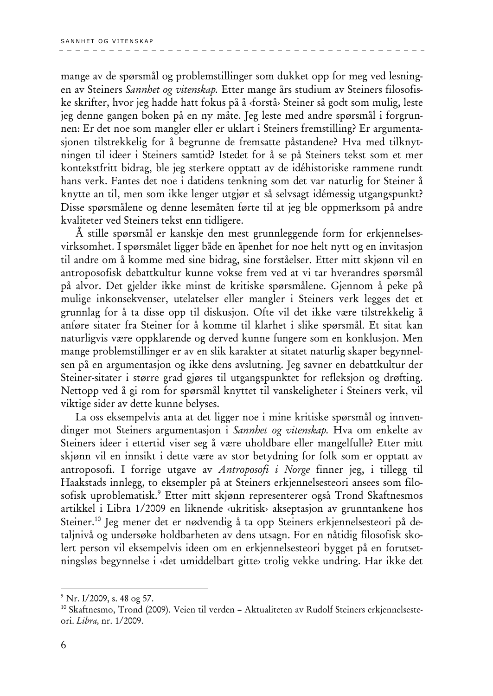mange av de spørsmål og problemstillinger som dukket opp for meg ved lesningen av Steiners Sannhet og vitenskap. Etter mange års studium av Steiners filosofiske skrifter, hvor jeg hadde hatt fokus på å «forstå» Steiner så godt som mulig, leste jeg denne gangen boken på en ny måte. Jeg leste med andre spørsmål i forgrunnen: Er det noe som mangler eller er uklart i Steiners fremstilling? Er argumentasjonen tilstrekkelig for å begrunne de fremsatte påstandene? Hva med tilknytningen til ideer i Steiners samtid? Istedet for å se på Steiners tekst som et mer kontekstfritt bidrag, ble jeg sterkere opptatt av de idéhistoriske rammene rundt hans verk. Fantes det noe i datidens tenkning som det var naturlig for Steiner å knytte an til, men som ikke lenger utgjør et så selvsagt idémessig utgangspunkt? Disse spørsmålene og denne lesemåten førte til at jeg ble oppmerksom på andre kvaliteter ved Steiners tekst enn tidligere.

Å stille spørsmål er kanskje den mest grunnleggende form for erkjennelsesvirksomhet. I spørsmålet ligger både en åpenhet for noe helt nytt og en invitasjon til andre om å komme med sine bidrag, sine forståelser. Etter mitt skjønn vil en antroposofisk debattkultur kunne vokse frem ved at vi tar hverandres spørsmål på alvor. Det gjelder ikke minst de kritiske spørsmålene. Gjennom å peke på mulige inkonsekvenser, utelatelser eller mangler i Steiners verk legges det et grunnlag for å ta disse opp til diskusjon. Ofte vil det ikke være tilstrekkelig å anføre sitater fra Steiner for å komme til klarhet i slike spørsmål. Et sitat kan naturligvis være oppklarende og derved kunne fungere som en konklusjon. Men mange problemstillinger er av en slik karakter at sitatet naturlig skaper begynnelsen på en argumentasjon og ikke dens avslutning. Jeg savner en debattkultur der Steiner-sitater i større grad gjøres til utgangspunktet for refleksjon og drøfting. Nettopp ved å gi rom for spørsmål knyttet til vanskeligheter i Steiners verk, vil viktige sider av dette kunne belyses.

La oss eksempelvis anta at det ligger noe i mine kritiske spørsmål og innvendinger mot Steiners argumentasjon i Sannbet og vitenskap. Hva om enkelte av Steiners ideer i ettertid viser seg å være uholdbare eller mangelfulle? Etter mitt skjønn vil en innsikt i dette være av stor betydning for folk som er opptatt av antroposofi. I forrige utgave av Antroposofi i Norge finner jeg, i tillegg til Haakstads innlegg, to eksempler på at Steiners erkjennelsesteori ansees som filosofisk uproblematisk.<sup>9</sup> Etter mitt skjønn representerer også Trond Skaftnesmos artikkel i Libra 1/2009 en liknende «ukritisk» akseptasjon av grunntankene hos Steiner.<sup>10</sup> Jeg mener det er nødvendig å ta opp Steiners erkjennelsesteori på detaljnivå og undersøke holdbarheten av dens utsagn. For en nåtidig filosofisk skolert person vil eksempelvis ideen om en erkjennelsesteori bygget på en forutsetningsløs begynnelse i «det umiddelbart gitte» trolig vekke undring. Har ikke det

<sup>&</sup>lt;sup>9</sup> Nr. I/2009, s. 48 og 57.

<sup>&</sup>lt;sup>10</sup> Skaftnesmo, Trond (2009). Veien til verden - Aktualiteten av Rudolf Steiners erkjennelsesteori. Libra, nr. 1/2009.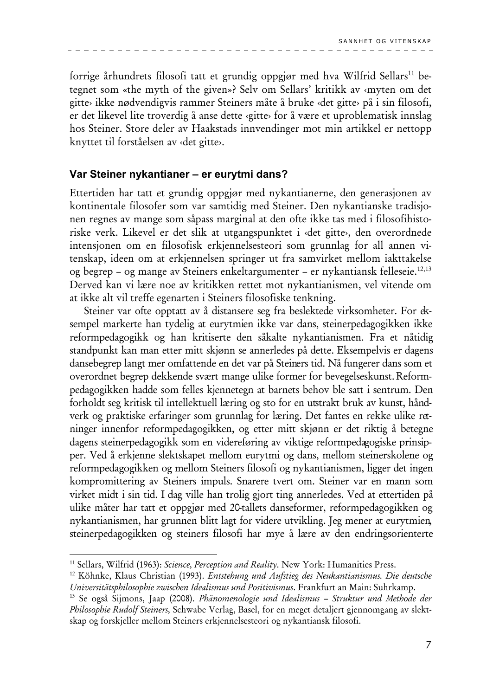forrige århundrets filosofi tatt et grundig oppgjør med hva Wilfrid Sellars<sup>11</sup> betegnet som «the myth of the given»? Selv om Sellars' kritikk av «myten om det gitte» ikke nødvendigvis rammer Steiners måte å bruke «det gitte» på i sin filosofi, er det likevel lite troverdig å anse dette «gitte» for å være et uproblematisk innslag hos Steiner. Store deler av Haakstads innvendinger mot min artikkel er nettopp knyttet til forståelsen av «det gitte».

#### Var Steiner nykantianer - er eurytmi dans?

Ettertiden har tatt et grundig oppgjør med nykantianerne, den generasjonen av kontinentale filosofer som var samtidig med Steiner. Den nykantianske tradisjonen regnes av mange som såpass marginal at den ofte ikke tas med i filosofihistoriske verk. Likevel er det slik at utgangspunktet i «det gitte», den overordnede intensjonen om en filosofisk erkjennelsesteori som grunnlag for all annen vitenskap, ideen om at erkjennelsen springer ut fra samvirket mellom iakttakelse og begrep – og mange av Steiners enkeltargumenter – er nykantiansk felleseie.<sup>12,13</sup> Derved kan vi lære noe av kritikken rettet mot nykantianismen, vel vitende om at ikke alt vil treffe egenarten i Steiners filosofiske tenkning.

Steiner var ofte opptatt av å distansere seg fra beslektede virksomheter. For eksempel markerte han tydelig at eurytmien ikke var dans, steinerpedagogikken ikke reformpedagogikk og han kritiserte den såkalte nykantianismen. Fra et nåtidig standpunkt kan man etter mitt skjønn se annerledes på dette. Eksempelvis er dagens dansebegrep langt mer omfattende en det var på Steiners tid. Nå fungerer dans som et overordnet begrep dekkende svært mange ulike former for bevegelseskunst. Reformpedagogikken hadde som felles kjennetegn at barnets behov ble satt i sentrum. Den forholdt seg kritisk til intellektuell læring og sto for en utstrakt bruk av kunst, håndverk og praktiske erfaringer som grunnlag for læring. Det fantes en rekke ulike retninger innenfor reformpedagogikken, og etter mitt skjønn er det riktig å betegne dagens steinerpedagogikk som en videreføring av viktige reformpedagogiske prinsipper. Ved å erkjenne slektskapet mellom eurytmi og dans, mellom steinerskolene og reformpedagogikken og mellom Steiners filosofi og nykantianismen, ligger det ingen kompromittering av Steiners impuls. Snarere tvert om. Steiner var en mann som virket midt i sin tid. I dag ville han trolig gjort ting annerledes. Ved at ettertiden på ulike måter har tatt et oppgjør med 20-tallets danseformer, reformpedagogikken og nykantianismen, har grunnen blitt lagt for videre utvikling. Jeg mener at eurytmien, steinerpedagogikken og steiners filosofi har mye å lære av den endringsorienterte

<sup>&</sup>lt;sup>11</sup> Sellars, Wilfrid (1963): Science, Perception and Reality. New York: Humanities Press.

<sup>&</sup>lt;sup>12</sup> Köhnke, Klaus Christian (1993). *Entstehung und Aufstieg des Neukantianismus. Die deutsche* Universitätsphilosophie zwischen Idealismus und Positivismus. Frankfurt an Main: Suhrkamp.

<sup>&</sup>lt;sup>13</sup> Se også Sijmons, Jaap (2008). Phänomenologie und Idealismus - Struktur und Methode der Philosophie Rudolf Steiners, Schwabe Verlag, Basel, for en meget detaljert gjennomgang av slektskap og forskjeller mellom Steiners erkjennelsesteori og nykantiansk filosofi.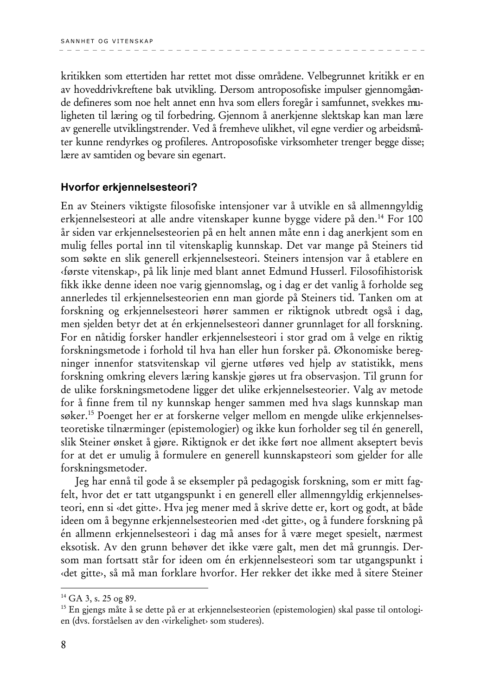kritikken som ettertiden har rettet mot disse områdene. Velbegrunnet kritikk er en av hoveddrivkreftene bak utvikling. Dersom antroposofiske impulser gjennomgående defineres som noe helt annet enn hva som ellers foregår i samfunnet, svekkes muligheten til læring og til forbedring. Gjennom å anerkjenne slektskap kan man lære av generelle utviklingstrender. Ved å fremheve ulikhet, vil egne verdier og arbeidsmåter kunne rendyrkes og profileres. Antroposofiske virksomheter trenger begge disse; lære av samtiden og bevare sin egenart.

#### Hvorfor erkiennelsesteori?

En av Steiners viktigste filosofiske intensjoner var å utvikle en så allmenngyldig erkjennelsesteori at alle andre vitenskaper kunne bygge videre på den.<sup>14</sup> For 100 år siden var erkjennelsesteorien på en helt annen måte enn i dag anerkjent som en mulig felles portal inn til vitenskaplig kunnskap. Det var mange på Steiners tid som søkte en slik generell erkjennelsesteori. Steiners intensjon var å etablere en (første vitenskap), på lik linje med blant annet Edmund Husserl. Filosofihistorisk fikk ikke denne ideen noe varig gjennomslag, og i dag er det vanlig å forholde seg annerledes til erkjennelsesteorien enn man gjorde på Steiners tid. Tanken om at forskning og erkjennelsesteori hører sammen er riktignok utbredt også i dag, men sjelden betyr det at én erkjennelsesteori danner grunnlaget for all forskning. For en nåtidig forsker handler erkjennelsesteori i stor grad om å velge en riktig forskningsmetode i forhold til hva han eller hun forsker på. Økonomiske beregninger innenfor statsvitenskap vil gjerne utføres ved hjelp av statistikk, mens forskning omkring elevers læring kanskje gjøres ut fra observasjon. Til grunn for de ulike forskningsmetodene ligger det ulike erkjennelsesteorier. Valg av metode for å finne frem til ny kunnskap henger sammen med hva slags kunnskap man søker.<sup>15</sup> Poenget her er at forskerne velger mellom en mengde ulike erkjennelsesteoretiske tilnærminger (epistemologier) og ikke kun forholder seg til én generell, slik Steiner ønsket å gjøre. Riktignok er det ikke ført noe allment akseptert bevis for at det er umulig å formulere en generell kunnskapsteori som gjelder for alle forskningsmetoder.

Jeg har ennå til gode å se eksempler på pedagogisk forskning, som er mitt fagfelt, hvor det er tatt utgangspunkt i en generell eller allmenngyldig erkjennelsesteori, enn si «det gitte». Hva jeg mener med å skrive dette er, kort og godt, at både ideen om å begynne erkjennelsesteorien med «det gitte», og å fundere forskning på én allmenn erkjennelsesteori i dag må anses for å være meget spesielt, nærmest eksotisk. Av den grunn behøver det ikke være galt, men det må grunngis. Dersom man fortsatt står for ideen om én erkjennelsesteori som tar utgangspunkt i «det gitte», så må man forklare hvorfor. Her rekker det ikke med å sitere Steiner

<sup>&</sup>lt;sup>14</sup> GA 3, s. 25 og 89.

<sup>&</sup>lt;sup>15</sup> En gjengs måte å se dette på er at erkjennelsesteorien (epistemologien) skal passe til ontologien (dvs. forståelsen av den «virkelighet» som studeres).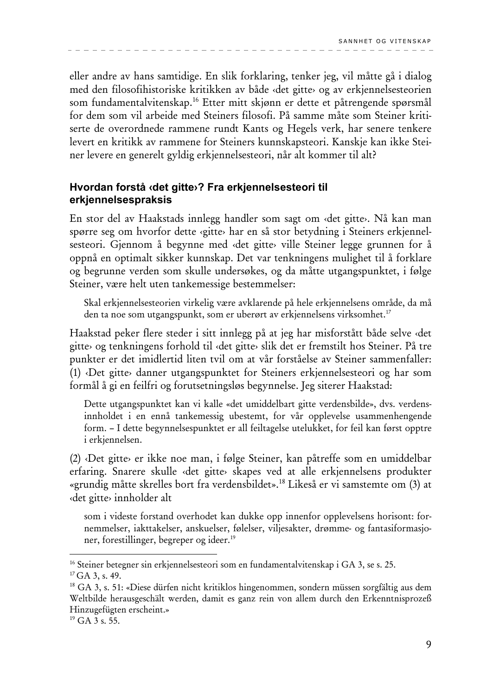eller andre av hans samtidige. En slik forklaring, tenker jeg, vil måtte gå i dialog med den filosofihistoriske kritikken av både «det gitte» og av erkjennelsesteorien som fundamentalvitenskap.<sup>16</sup> Etter mitt skjønn er dette et påtrengende spørsmål for dem som vil arbeide med Steiners filosofi. På samme måte som Steiner kritiserte de overordnede rammene rundt Kants og Hegels verk, har senere tenkere levert en kritikk av rammene for Steiners kunnskapsteori. Kanskje kan ikke Steiner levere en generelt gyldig erkjennelsesteori, når alt kommer til alt?

## Hvordan forstå «det gitte»? Fra erkjennelsesteori til erkjennelsespraksis

En stor del av Haakstads innlegg handler som sagt om «det gitte». Nå kan man spørre seg om hvorfor dette «gitte» har en så stor betydning i Steiners erkjennelsesteori. Gjennom å begynne med «det gitte» ville Steiner legge grunnen for å oppnå en optimalt sikker kunnskap. Det var tenkningens mulighet til å forklare og begrunne verden som skulle undersøkes, og da måtte utgangspunktet, i følge Steiner, være helt uten tankemessige bestemmelser:

Skal erkjennelsesteorien virkelig være avklarende på hele erkjennelsens område, da må den ta noe som utgangspunkt, som er uberørt av erkjennelsens virksomhet.<sup>17</sup>

Haakstad peker flere steder i sitt innlegg på at jeg har misforstått både selve «det gitte» og tenkningens forhold til «det gitte» slik det er fremstilt hos Steiner. På tre punkter er det imidlertid liten tvil om at vår forståelse av Steiner sammenfaller: (1) Det gitte> danner utgangspunktet for Steiners erkjennelsesteori og har som formål å gi en feilfri og forutsetningsløs begynnelse. Jeg siterer Haakstad:

Dette utgangspunktet kan vi kalle «det umiddelbart gitte verdensbilde», dvs. verdensinnholdet i en ennå tankemessig ubestemt, for vår opplevelse usammenhengende form. - I dette begynnelsespunktet er all feiltagelse utelukket, for feil kan først opptre i erkjennelsen.

(2) Det gitte er ikke noe man, i følge Steiner, kan påtreffe som en umiddelbar erfaring. Snarere skulle «det gitte» skapes ved at alle erkjennelsens produkter «grundig måtte skrelles bort fra verdensbildet».<sup>18</sup> Likeså er vi samstemte om (3) at «det gitte» innholder alt

som i videste forstand overhodet kan dukke opp innenfor opplevelsens horisont: fornemmelser, iakttakelser, anskuelser, følelser, viljesakter, drømme- og fantasiformasjoner, forestillinger, begreper og ideer.<sup>19</sup>

<sup>&</sup>lt;sup>16</sup> Steiner betegner sin erkjennelsesteori som en fundamentalvitenskap i GA 3, se s. 25.

 $17$  GA 3, s, 49.

<sup>&</sup>lt;sup>18</sup> GA 3, s. 51: «Diese dürfen nicht kritiklos hingenommen, sondern müssen sorgfältig aus dem Weltbilde herausgeschält werden, damit es ganz rein von allem durch den Erkenntnisprozeß Hinzugefügten erscheint.»

<sup>&</sup>lt;sup>19</sup> GA 3 s. 55.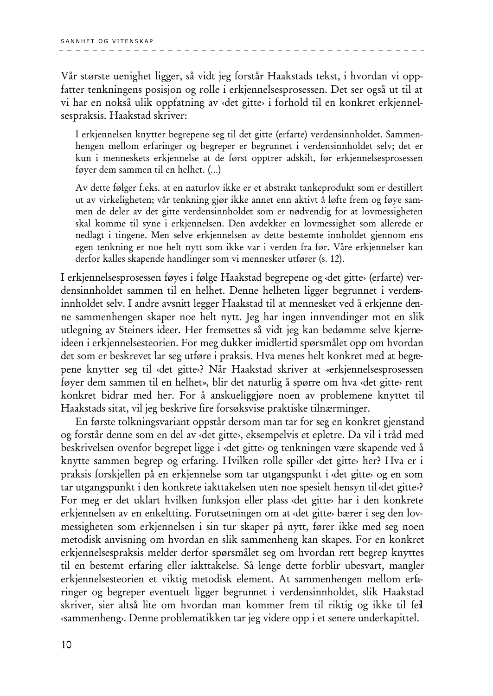Vår største uenighet ligger, så vidt jeg forstår Haakstads tekst, i hvordan vi oppfatter tenkningens posisjon og rolle i erkjennelsesprosessen. Det ser også ut til at vi har en nokså ulik oppfatning av «det gitte» i forhold til en konkret erkjennelsespraksis. Haakstad skriver:

I erkjennelsen knytter begrepene seg til det gitte (erfarte) verdensinnholdet. Sammenhengen mellom erfaringer og begreper er begrunnet i verdensinnholdet selv; det er kun i menneskets erkjennelse at de først opptrer adskilt, før erkjennelsesprosessen føyer dem sammen til en helhet. (...)

Av dette følger f.eks. at en naturlov ikke er et abstrakt tankeprodukt som er destillert ut av virkeligheten; vår tenkning gjør ikke annet enn aktivt å løfte frem og føye sammen de deler av det gitte verdensinnholdet som er nødvendig for at lovmessigheten skal komme til syne i erkjennelsen. Den avdekker en lovmessighet som allerede er nedlagt i tingene. Men selve erkjennelsen av dette bestemte innholdet gjennom ens egen tenkning er noe helt nytt som ikke var i verden fra før. Våre erkjennelser kan derfor kalles skapende handlinger som vi mennesker utfører (s. 12).

I erkjennelsesprosessen føyes i følge Haakstad begrepene og «det gitte» (erfarte) verdensinnholdet sammen til en helhet. Denne helheten ligger begrunnet i verdensinnholdet selv. I andre avsnitt legger Haakstad til at mennesket ved å erkjenne denne sammenhengen skaper noe helt nytt. Jeg har ingen innvendinger mot en slik utlegning av Steiners ideer. Her fremsettes så vidt jeg kan bedømme selve kjerneideen i erkjennelsesteorien. For meg dukker imidlertid spørsmålet opp om hvordan det som er beskrevet lar seg utføre i praksis. Hva menes helt konkret med at begrepene knytter seg til «det gitte»? Når Haakstad skriver at «erkjennelsesprosessen føyer dem sammen til en helhet», blir det naturlig å spørre om hva «det gitte» rent konkret bidrar med her. For å anskueliggjøre noen av problemene knyttet til Haakstads sitat, vil jeg beskrive fire forsøksvise praktiske tilnærminger.

En første tolkningsvariant oppstår dersom man tar for seg en konkret gjenstand og forstår denne som en del av «det gitte», eksempelvis et epletre. Da vil i tråd med beskrivelsen ovenfor begrepet ligge i «det gitte» og tenkningen være skapende ved å knytte sammen begrep og erfaring. Hvilken rolle spiller «det gitte» her? Hva er i praksis forskjellen på en erkjennelse som tar utgangspunkt i «det gitte» og en som tar utgangspunkt i den konkrete iakttakelsen uten noe spesielt hensyn til det gitte>? For meg er det uklart hvilken funksjon eller plass «det gitte» har i den konkrete erkjennelsen av en enkeltting. Forutsetningen om at «det gitte» bærer i seg den lovmessigheten som erkjennelsen i sin tur skaper på nytt, fører ikke med seg noen metodisk anvisning om hvordan en slik sammenheng kan skapes. For en konkret erkjennelsespraksis melder derfor spørsmålet seg om hvordan rett begrep knyttes til en bestemt erfaring eller iakttakelse. Så lenge dette forblir ubesvart, mangler erkjennelsesteorien et viktig metodisk element. At sammenhengen mellom erfaringer og begreper eventuelt ligger begrunnet i verdensinnholdet, slik Haakstad skriver, sier altså lite om hvordan man kommer frem til riktig og ikke til fel «sammenheng». Denne problematikken tar jeg videre opp i et senere underkapittel.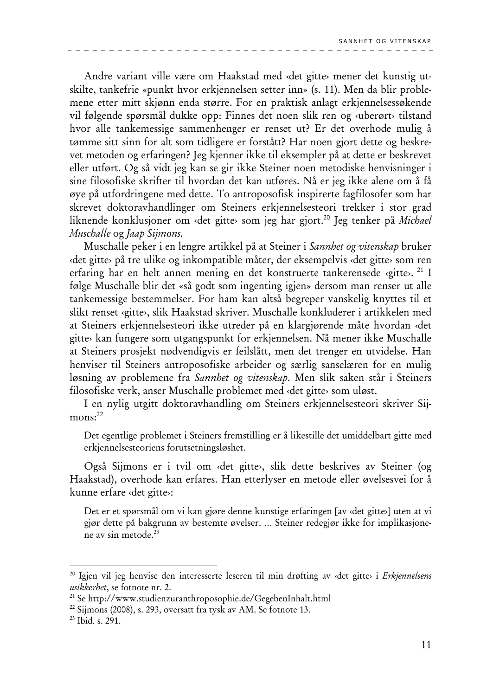Andre variant ville være om Haakstad med «det gitte» mener det kunstig utskilte, tankefrie «punkt hvor erkjennelsen setter inn» (s. 11). Men da blir problemene etter mitt skjønn enda større. For en praktisk anlagt erkjennelsessøkende vil følgende spørsmål dukke opp: Finnes det noen slik ren og «uberørt» tilstand hvor alle tankemessige sammenhenger er renset ut? Er det overhode mulig å tømme sitt sinn for alt som tidligere er forstått? Har noen gjort dette og beskrevet metoden og erfaringen? Jeg kjenner ikke til eksempler på at dette er beskrevet eller utført. Og så vidt jeg kan se gir ikke Steiner noen metodiske henvisninger i sine filosofiske skrifter til hvordan det kan utføres. Nå er jeg ikke alene om å få øye på utfordringene med dette. To antroposofisk inspirerte fagfilosofer som har skrevet doktoravhandlinger om Steiners erkjennelsesteori trekker i stor grad liknende konklusjoner om «det gitte» som jeg har gjort.<sup>20</sup> Jeg tenker på Michael Muschalle og Jaap Sijmons.

Muschalle peker i en lengre artikkel på at Steiner i Sannhet og vitenskap bruker «det gitte» på tre ulike og inkompatible måter, der eksempelvis «det gitte» som ren erfaring har en helt annen mening en det konstruerte tankerensede «gitte». <sup>21</sup> I følge Muschalle blir det «så godt som ingenting igjen» dersom man renser ut alle tankemessige bestemmelser. For ham kan altså begreper vanskelig knyttes til et slikt renset «gitte», slik Haakstad skriver. Muschalle konkluderer i artikkelen med at Steiners erkjennelsesteori ikke utreder på en klargjørende måte hvordan «det gitte» kan fungere som utgangspunkt for erkjennelsen. Nå mener ikke Muschalle at Steiners prosjekt nødvendigvis er feilslått, men det trenger en utvidelse. Han henviser til Steiners antroposofiske arbeider og særlig sanselæren for en mulig løsning av problemene fra *Sannhet og vitenskap*. Men slik saken står i Steiners filosofiske verk, anser Muschalle problemet med «det gitte» som uløst.

I en nylig utgitt doktoravhandling om Steiners erkjennelsesteori skriver Sij $mons: <sup>22</sup>$ 

Det egentlige problemet i Steiners fremstilling er å likestille det umiddelbart gitte med erkjennelsesteoriens forutsetningsløshet.

Også Sijmons er i tvil om «det gitte», slik dette beskrives av Steiner (og Haakstad), overhode kan erfares. Han etterlyser en metode eller øvelsesvei for å kunne erfare «det gitte»:

Det er et spørsmål om vi kan gjøre denne kunstige erfaringen [av «det gitte»] uten at vi gjør dette på bakgrunn av bestemte øvelser. ... Steiner redegjør ikke for implikasjonene av sin metode.<sup>23</sup>

<sup>&</sup>lt;sup>20</sup> Igjen vil jeg henvise den interesserte leseren til min drøfting av «det gitte» i Erkjennelsens usikkerhet, se fotnote nr. 2.

<sup>&</sup>lt;sup>21</sup> Se http://www.studienzuranthroposophie.de/GegebenInhalt.html

<sup>&</sup>lt;sup>22</sup> Sijmons (2008), s. 293, oversatt fra tysk av AM. Se fotnote 13.

<sup>&</sup>lt;sup>23</sup> Ibid. s. 291.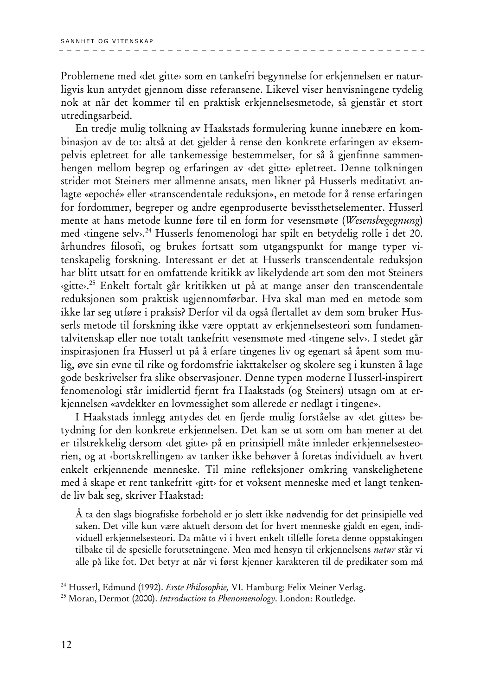Problemene med «det gitte» som en tankefri begynnelse for erkjennelsen er naturligvis kun antydet gjennom disse referansene. Likevel viser henvisningene tydelig nok at når det kommer til en praktisk erkjennelsesmetode, så gjenstår et stort utredingsarbeid.

En tredje mulig tolkning av Haakstads formulering kunne innebære en kombinasjon av de to: altså at det gjelder å rense den konkrete erfaringen av eksempelvis epletreet for alle tankemessige bestemmelser, for så å gjenfinne sammenhengen mellom begrep og erfaringen av «det gitte» epletreet. Denne tolkningen strider mot Steiners mer allmenne ansats, men likner på Husserls meditativt anlagte «epoché» eller «transcendentale reduksjon», en metode for å rense erfaringen for fordommer, begreper og andre egenproduserte bevissthetselementer. Husserl mente at hans metode kunne føre til en form for vesensmøte (Wesensbegegnung) med «tingene selv».<sup>24</sup> Husserls fenomenologi har spilt en betydelig rolle i det 20. århundres filosofi, og brukes fortsatt som utgangspunkt for mange typer vitenskapelig forskning. Interessant er det at Husserls transcendentale reduksjon har blitt utsatt for en omfattende kritikk av likelydende art som den mot Steiners «gitte».<sup>25</sup> Enkelt fortalt går kritikken ut på at mange anser den transcendentale reduksjonen som praktisk ugjennomførbar. Hva skal man med en metode som ikke lar seg utføre i praksis? Derfor vil da også flertallet av dem som bruker Husserls metode til forskning ikke være opptatt av erkjennelsesteori som fundamentalvitenskap eller noe totalt tankefritt vesensmøte med «tingene selv». I stedet går inspirasjonen fra Husserl ut på å erfare tingenes liv og egenart så åpent som mulig, øve sin evne til rike og fordomsfrie iakttakelser og skolere seg i kunsten å lage gode beskrivelser fra slike observasjoner. Denne typen moderne Husserl-inspirert fenomenologi står imidlertid fjernt fra Haakstads (og Steiners) utsagn om at erkjennelsen «avdekker en lovmessighet som allerede er nedlagt i tingene».

I Haakstads innlegg antydes det en fjerde mulig forståelse av «det gittes» betydning for den konkrete erkjennelsen. Det kan se ut som om han mener at det er tilstrekkelig dersom «det gitte» på en prinsipiell måte innleder erkjennelsesteorien, og at «bortskrellingen» av tanker ikke behøver å foretas individuelt av hvert enkelt erkjennende menneske. Til mine refleksjoner omkring vanskelighetene med å skape et rent tankefritt «gitt» for et voksent menneske med et langt tenkende liv bak seg, skriver Haakstad:

Å ta den slags biografiske forbehold er jo slett ikke nødvendig for det prinsipielle ved saken. Det ville kun være aktuelt dersom det for hvert menneske gjaldt en egen, individuell erkjennelsesteori. Da måtte vi i hvert enkelt tilfelle foreta denne oppstakingen tilbake til de spesielle forutsetningene. Men med hensyn til erkjennelsens natur står vi alle på like fot. Det betyr at når vi først kjenner karakteren til de predikater som må

<sup>&</sup>lt;sup>24</sup> Husserl, Edmund (1992). Erste Philosophie, VI. Hamburg: Felix Meiner Verlag.

<sup>&</sup>lt;sup>25</sup> Moran, Dermot (2000). *Introduction to Phenomenology*. London: Routledge.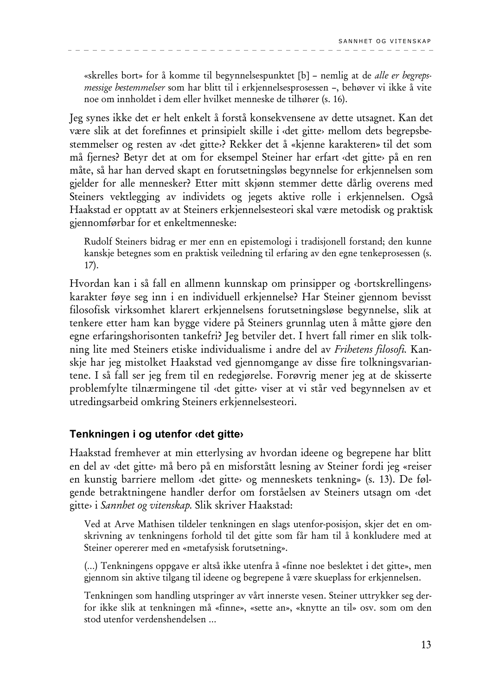«skrelles bort» for å komme til begynnelsespunktet [b] – nemlig at de alle er begrepsmessige bestemmelser som har blitt til i erkjennelsesprosessen -, behøver vi ikke å vite noe om innholdet i dem eller hvilket menneske de tilhører (s. 16).

Jeg synes ikke det er helt enkelt å forstå konsekvensene av dette utsagnet. Kan det være slik at det forefinnes et prinsipielt skille i «det gitte» mellom dets begrepsbestemmelser og resten av «det gitte»? Rekker det å «kjenne karakteren» til det som må fjernes? Betyr det at om for eksempel Steiner har erfart «det gitte» på en ren måte, så har han derved skapt en forutsetningsløs begynnelse for erkjennelsen som gjelder for alle mennesker? Etter mitt skjønn stemmer dette dårlig overens med Steiners vektlegging av individets og jegets aktive rolle i erkjennelsen. Også Haakstad er opptatt av at Steiners erkjennelsesteori skal være metodisk og praktisk gjennomførbar for et enkeltmenneske:

Rudolf Steiners bidrag er mer enn en epistemologi i tradisjonell forstand; den kunne kanskje betegnes som en praktisk veiledning til erfaring av den egne tenkeprosessen (s.  $17).$ 

Hvordan kan i så fall en allmenn kunnskap om prinsipper og «bortskrellingens» karakter føye seg inn i en individuell erkjennelse? Har Steiner gjennom bevisst filosofisk virksomhet klarert erkjennelsens forutsetningsløse begynnelse, slik at tenkere etter ham kan bygge videre på Steiners grunnlag uten å måtte gjøre den egne erfaringshorisonten tankefri? Jeg betviler det. I hvert fall rimer en slik tolkning lite med Steiners etiske individualisme i andre del av Frihetens filosofi. Kanskje har jeg mistolket Haakstad ved gjennomgange av disse fire tolkningsvariantene. I så fall ser jeg frem til en redegjørelse. Forøvrig mener jeg at de skisserte problemfylte tilnærmingene til «det gitte» viser at vi står ved begynnelsen av et utredingsarbeid omkring Steiners erkjennelsesteori.

## Tenkningen i og utenfor «det gitte»

Haakstad fremhever at min etterlysing av hvordan ideene og begrepene har blitt en del av «det gitte» må bero på en misforstått lesning av Steiner fordi jeg «reiser en kunstig barriere mellom «det gitte» og menneskets tenkning» (s. 13). De følgende betraktningene handler derfor om forståelsen av Steiners utsagn om «det gitte» i Sannhet og vitenskap. Slik skriver Haakstad:

Ved at Arve Mathisen tildeler tenkningen en slags utenfor-posisjon, skjer det en omskrivning av tenkningens forhold til det gitte som får ham til å konkludere med at Steiner opererer med en «metafysisk forutsetning».

(...) Tenkningens oppgave er altså ikke utenfra å «finne noe beslektet i det gitte», men gjennom sin aktive tilgang til ideene og begrepene å være skueplass for erkjennelsen.

Tenkningen som handling utspringer av vårt innerste vesen. Steiner uttrykker seg derfor ikke slik at tenkningen må «finne», «sette an», «knytte an til» osv. som om den stod utenfor verdenshendelsen ...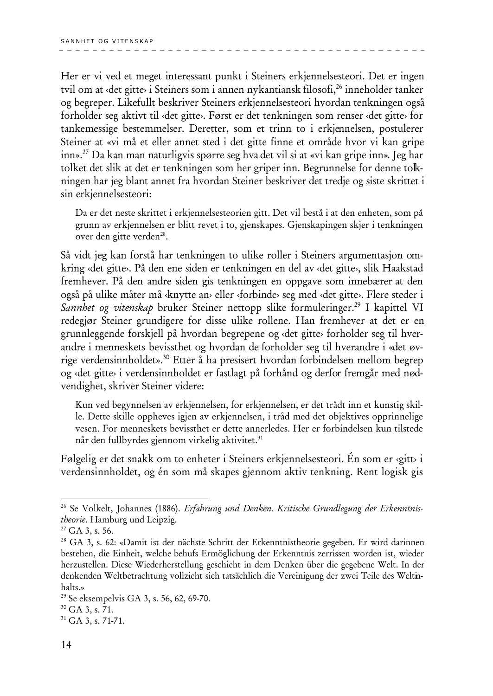Her er vi ved et meget interessant punkt i Steiners erkjennelsesteori. Det er ingen tvil om at «det gitte» i Steiners som i annen nykantiansk filosofi.<sup>26</sup> inneholder tanker og begreper. Likefullt beskriver Steiners erkjennelsesteori hvordan tenkningen også forholder seg aktivt til «det gitte». Først er det tenkningen som renser «det gitte» for tankemessige bestemmelser. Deretter, som et trinn to i erkjennelsen, postulerer Steiner at «vi må et eller annet sted i det gitte finne et område hvor vi kan gripe inn».<sup>27</sup> Da kan man naturligvis spørre seg hva det vil si at «vi kan gripe inn». Jeg har tolket det slik at det er tenkningen som her griper inn. Begrunnelse for denne tolkningen har jeg blant annet fra hvordan Steiner beskriver det tredje og siste skrittet i sin erkjennelsesteori:

Da er det neste skrittet i erkjennelsesteorien gitt. Det vil bestå i at den enheten, som på grunn av erkjennelsen er blitt revet i to, gjenskapes. Gjenskapingen skjer i tenkningen over den gitte verden<sup>28</sup>.

Så vidt jeg kan forstå har tenkningen to ulike roller i Steiners argumentasjon omkring «det gitte». På den ene siden er tenkningen en del av «det gitte», slik Haakstad fremhever. På den andre siden gis tenkningen en oppgave som innebærer at den også på ulike måter må «knytte an» eller «forbinde» seg med «det gitte». Flere steder i Sannhet og vitenskap bruker Steiner nettopp slike formuleringer.<sup>29</sup> I kapittel VI redegjør Steiner grundigere for disse ulike rollene. Han fremhever at det er en grunnleggende forskjell på hvordan begrepene og «det gitte» forholder seg til hverandre i menneskets bevissthet og hvordan de forholder seg til hverandre i «det øvrige verdensinnholdet».<sup>30</sup> Etter å ha presisert hvordan forbindelsen mellom begrep og «det gitte» i verdensinnholdet er fastlagt på forhånd og derfor fremgår med nødvendighet, skriver Steiner videre:

Kun ved begynnelsen av erkjennelsen, for erkjennelsen, er det trådt inn et kunstig skille. Dette skille oppheves igjen av erkjennelsen, i tråd med det objektives opprinnelige vesen. For menneskets bevissthet er dette annerledes. Her er forbindelsen kun tilstede når den fullbyrdes gjennom virkelig aktivitet.<sup>31</sup>

Følgelig er det snakk om to enheter i Steiners erkjennelsesteori. Én som er «gitt» i verdensinnholdet, og én som må skapes gjennom aktiv tenkning. Rent logisk gis

<sup>&</sup>lt;sup>26</sup> Se Volkelt, Johannes (1886). *Erfabrung und Denken. Kritische Grundlegung der Erkenntnis*theorie. Hamburg und Leipzig.

 $27$  GA 3, s. 56.

<sup>&</sup>lt;sup>28</sup> GA 3, s. 62: «Damit ist der nächste Schritt der Erkenntnistheorie gegeben. Er wird darinnen bestehen, die Einheit, welche behufs Ermöglichung der Erkenntnis zerrissen worden ist, wieder herzustellen. Diese Wiederherstellung geschieht in dem Denken über die gegebene Welt. In der denkenden Weltbetrachtung vollzieht sich tatsächlich die Vereinigung der zwei Teile des Weltinhalts.»

<sup>&</sup>lt;sup>29</sup> Se eksempelvis GA 3, s. 56, 62, 69-70.

<sup>&</sup>lt;sup>30</sup> GA 3, s. 71.

<sup>&</sup>lt;sup>31</sup> GA 3, s, 71-71.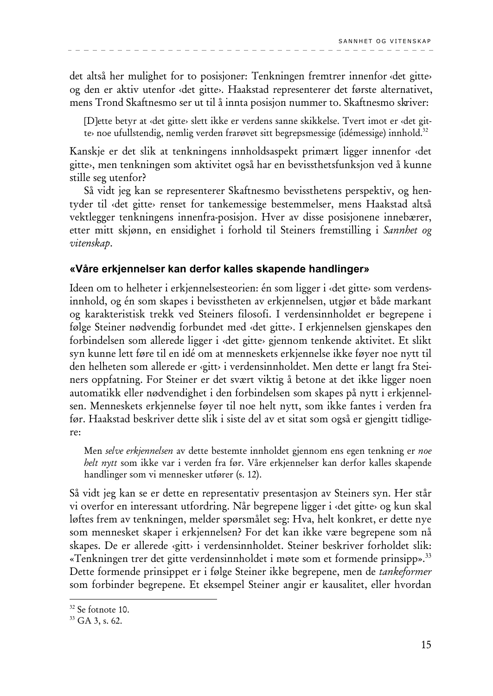det altså her mulighet for to posisjoner: Tenkningen fremtrer innenfor «det gitte» og den er aktiv utenfor «det gitte». Haakstad representerer det første alternativet, mens Trond Skaftnesmo ser ut til å innta posisjon nummer to. Skaftnesmo skriver:

[D]ette betyr at «det gitte» slett ikke er verdens sanne skikkelse. Tvert imot er «det gitte» noe ufullstendig, nemlig verden frarøvet sitt begrepsmessige (idémessige) innhold.<sup>32</sup>

Kanskje er det slik at tenkningens innholdsaspekt primært ligger innenfor «det gitte», men tenkningen som aktivitet også har en bevissthetsfunksjon ved å kunne stille seg utenfor?

Så vidt jeg kan se representerer Skaftnesmo bevissthetens perspektiv, og hentyder til «det gitte» renset for tankemessige bestemmelser, mens Haakstad altså vektlegger tenkningens innenfra-posisjon. Hver av disse posisjonene innebærer, etter mitt skjønn, en ensidighet i forhold til Steiners fremstilling i Sannhet og vitenskap.

#### «Våre erkjennelser kan derfor kalles skapende handlinger»

Ideen om to helheter i erkjennelsesteorien: én som ligger i «det gitte» som verdensinnhold, og én som skapes i bevisstheten av erkjennelsen, utgjør et både markant og karakteristisk trekk ved Steiners filosofi. I verdensinnholdet er begrepene i følge Steiner nødvendig forbundet med «det gitte». I erkjennelsen gjenskapes den forbindelsen som allerede ligger i «det gitte» gjennom tenkende aktivitet. Et slikt syn kunne lett føre til en idé om at menneskets erkjennelse ikke føyer noe nytt til den helheten som allerede er «gitt» i verdensinnholdet. Men dette er langt fra Steiners oppfatning. For Steiner er det svært viktig å betone at det ikke ligger noen automatikk eller nødvendighet i den forbindelsen som skapes på nytt i erkjennelsen. Menneskets erkjennelse føyer til noe helt nytt, som ikke fantes i verden fra før. Haakstad beskriver dette slik i siste del av et sitat som også er gjengitt tidligere:

Men selve erkjennelsen av dette bestemte innholdet gjennom ens egen tenkning er noe helt nytt som ikke var i verden fra før. Våre erkjennelser kan derfor kalles skapende handlinger som vi mennesker utfører (s. 12).

Så vidt jeg kan se er dette en representativ presentasjon av Steiners syn. Her står vi overfor en interessant utfordring. Når begrepene ligger i «det gitte» og kun skal løftes frem av tenkningen, melder spørsmålet seg: Hva, helt konkret, er dette nye som mennesket skaper i erkjennelsen? For det kan ikke være begrepene som nå skapes. De er allerede «gitt» i verdensinnholdet. Steiner beskriver forholdet slik: «Tenkningen trer det gitte verdensinnholdet i møte som et formende prinsipp».<sup>33</sup> Dette formende prinsippet er i følge Steiner ikke begrepene, men de *tankeformer* som forbinder begrepene. Et eksempel Steiner angir er kausalitet, eller hvordan

<sup>&</sup>lt;sup>32</sup> Se fotnote 10.

<sup>&</sup>lt;sup>33</sup> GA 3, s. 62.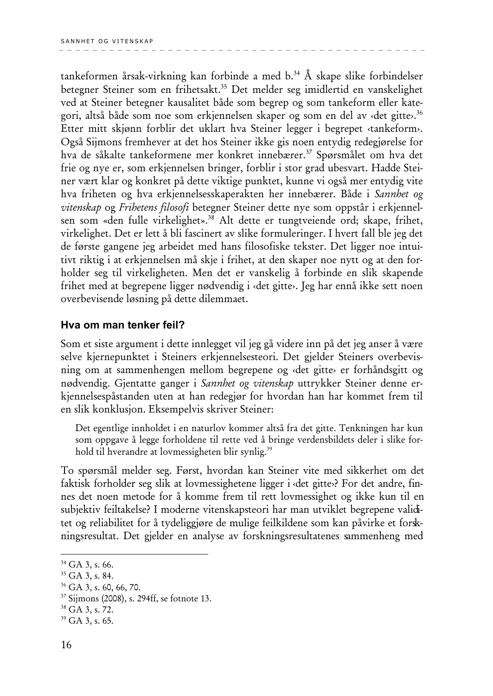tankeformen årsak-virkning kan forbinde a med  $b^{34}$ . Å skape slike forbindelser betegner Steiner som en frihetsakt.<sup>35</sup> Det melder seg imidlertid en vanskelighet ved at Steiner betegner kausalitet både som begrep og som tankeform eller kategori, altså både som noe som erkjennelsen skaper og som en del av «det gitte».<sup>36</sup> Etter mitt skjønn forblir det uklart hva Steiner legger i begrepet «tankeform». Også Sijmons fremhever at det hos Steiner ikke gis noen entydig redegjørelse for hva de såkalte tankeformene mer konkret innebærer.<sup>37</sup> Spørsmålet om hva det frie og nye er, som erkjennelsen bringer, forblir i stor grad ubesvart. Hadde Steiner vært klar og konkret på dette viktige punktet, kunne vi også mer entydig vite hva friheten og hva erkjennelsesskaperakten her innebærer. Både i Sannhet og vitenskap og Frihetens filosofi betegner Steiner dette nye som oppstår i erkjennelsen som «den fulle virkelighet».<sup>38</sup> Alt dette er tungtveiende ord; skape, frihet, virkelighet. Det er lett å bli fascinert av slike formuleringer. I hvert fall ble jeg det de første gangene jeg arbeidet med hans filosofiske tekster. Det ligger noe intuitivt riktig i at erkjennelsen må skje i frihet, at den skaper noe nytt og at den forholder seg til virkeligheten. Men det er vanskelig å forbinde en slik skapende frihet med at begrepene ligger nødvendig i «det gitte». Jeg har ennå ikke sett noen overbevisende løsning på dette dilemmaet.

#### Hya om man tenker feil?

Som et siste argument i dette innlegget vil jeg gå videre inn på det jeg anser å være selve kjernepunktet i Steiners erkjennelsesteori. Det gjelder Steiners overbevisning om at sammenhengen mellom begrepene og «det gitte» er forhåndsgitt og nødvendig. Gjentatte ganger i Sannhet og vitenskap uttrykker Steiner denne erkjennelsespåstanden uten at han redegjør for hvordan han har kommet frem til en slik konklusjon. Eksempelvis skriver Steiner:

Det egentlige innholdet i en naturlov kommer altså fra det gitte. Tenkningen har kun som oppgave å legge forholdene til rette ved å bringe verdensbildets deler i slike forhold til hverandre at lovmessigheten blir synlig.<sup>39</sup>

To spørsmål melder seg. Først, hvordan kan Steiner vite med sikkerhet om det faktisk forholder seg slik at lovmessighetene ligger i «det gitte»? For det andre, finnes det noen metode for å komme frem til rett lovmessighet og ikke kun til en subjektiv feiltakelse? I moderne vitenskapsteori har man utviklet begrepene validitet og reliabilitet for å tydeliggjøre de mulige feilkildene som kan påvirke et forskningsresultat. Det gjelder en analyse av forskningsresultatenes sammenheng med

<sup>36</sup> GA 3, s. 60, 66, 70.

 $34$  GA 3, s. 66.

<sup>&</sup>lt;sup>35</sup> GA 3, s. 84.

<sup>&</sup>lt;sup>37</sup> Sijmons (2008), s. 294ff, se fotnote 13.

<sup>&</sup>lt;sup>38</sup> GA 3, s. 72.

<sup>&</sup>lt;sup>39</sup> GA 3, s. 65.